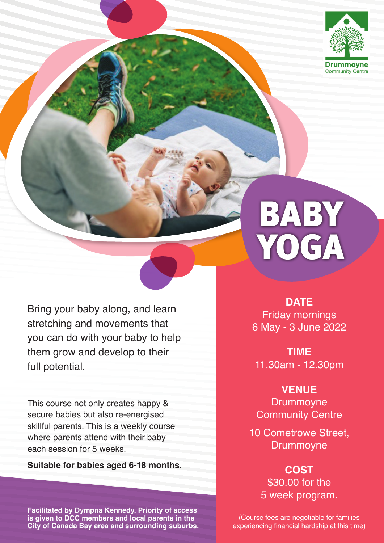

# BABY YOGA

Bring your baby along, and learn stretching and movements that you can do with your baby to help them grow and develop to their full potential.

This course not only creates happy & secure babies but also re-energised skillful parents. This is a weekly course where parents attend with their baby each session for 5 weeks.

#### **Suitable for babies aged 6-18 months.**

**Facilitated by Dympna Kennedy. Priority of access is given to DCC members and local parents in the City of Canada Bay area and surrounding suburbs.** 

**DATE** Friday mornings 6 May - 3 June 2022

**Time** 11.30am - 12.30pm

**VENUE**

**Drummoyne** Community Centre

10 Cometrowe Street, Drummoyne

> **Cost** \$30.00 for the 5 week program.

(Course fees are negotiable for families experiencing financial hardship at this time)